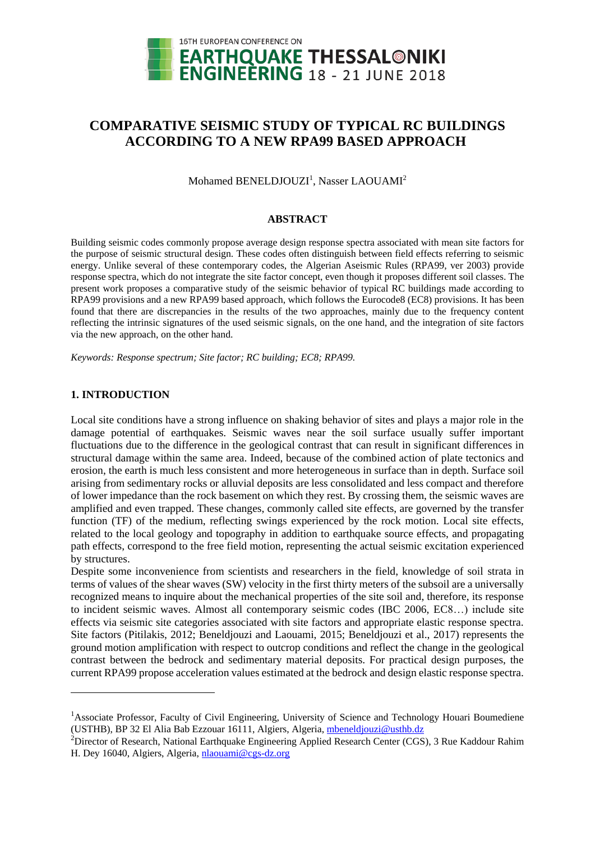

# **COMPARATIVE SEISMIC STUDY OF TYPICAL RC BUILDINGS ACCORDING TO A NEW RPA99 BASED APPROACH**

Mohamed BENELDJOUZI<sup>1</sup>, Nasser LAOUAMI<sup>2</sup>

#### **ABSTRACT**

Building seismic codes commonly propose average design response spectra associated with mean site factors for the purpose of seismic structural design. These codes often distinguish between field effects referring to seismic energy. Unlike several of these contemporary codes, the Algerian Aseismic Rules (RPA99, ver 2003) provide response spectra, which do not integrate the site factor concept, even though it proposes different soil classes. The present work proposes a comparative study of the seismic behavior of typical RC buildings made according to RPA99 provisions and a new RPA99 based approach, which follows the Eurocode8 (EC8) provisions. It has been found that there are discrepancies in the results of the two approaches, mainly due to the frequency content reflecting the intrinsic signatures of the used seismic signals, on the one hand, and the integration of site factors via the new approach, on the other hand.

*Keywords: Response spectrum; Site factor; RC building; EC8; RPA99.* 

# **1. INTRODUCTION**

1

Local site conditions have a strong influence on shaking behavior of sites and plays a major role in the damage potential of earthquakes. Seismic waves near the soil surface usually suffer important fluctuations due to the difference in the geological contrast that can result in significant differences in structural damage within the same area. Indeed, because of the combined action of plate tectonics and erosion, the earth is much less consistent and more heterogeneous in surface than in depth. Surface soil arising from sedimentary rocks or alluvial deposits are less consolidated and less compact and therefore of lower impedance than the rock basement on which they rest. By crossing them, the seismic waves are amplified and even trapped. These changes, commonly called site effects, are governed by the transfer function (TF) of the medium, reflecting swings experienced by the rock motion. Local site effects, related to the local geology and topography in addition to earthquake source effects, and propagating path effects, correspond to the free field motion, representing the actual seismic excitation experienced by structures.

Despite some inconvenience from scientists and researchers in the field, knowledge of soil strata in terms of values of the shear waves (SW) velocity in the first thirty meters of the subsoil are a universally recognized means to inquire about the mechanical properties of the site soil and, therefore, its response to incident seismic waves. Almost all contemporary seismic codes (IBC 2006, EC8…) include site effects via seismic site categories associated with site factors and appropriate elastic response spectra. Site factors (Pitilakis, 2012; Beneldjouzi and Laouami, 2015; Beneldjouzi et al., 2017) represents the ground motion amplification with respect to outcrop conditions and reflect the change in the geological contrast between the bedrock and sedimentary material deposits. For practical design purposes, the current RPA99 propose acceleration values estimated at the bedrock and design elastic response spectra.

<sup>&</sup>lt;sup>1</sup>Associate Professor, Faculty of Civil Engineering, University of Science and Technology Houari Boumediene (USTHB), BP 32 El Alia Bab Ezzouar 16111, Algiers, Algeria, [mbeneldjouzi@u](mailto:mbeneldjouzi@)sthb.dz

<sup>&</sup>lt;sup>2</sup>Director of Research, National Earthquake Engineering Applied Research Center (CGS), 3 Rue Kaddour Rahim H. Dey 16040, Algiers, Algeria[, nlaouami@c](mailto:nlaouami@)gs-dz.org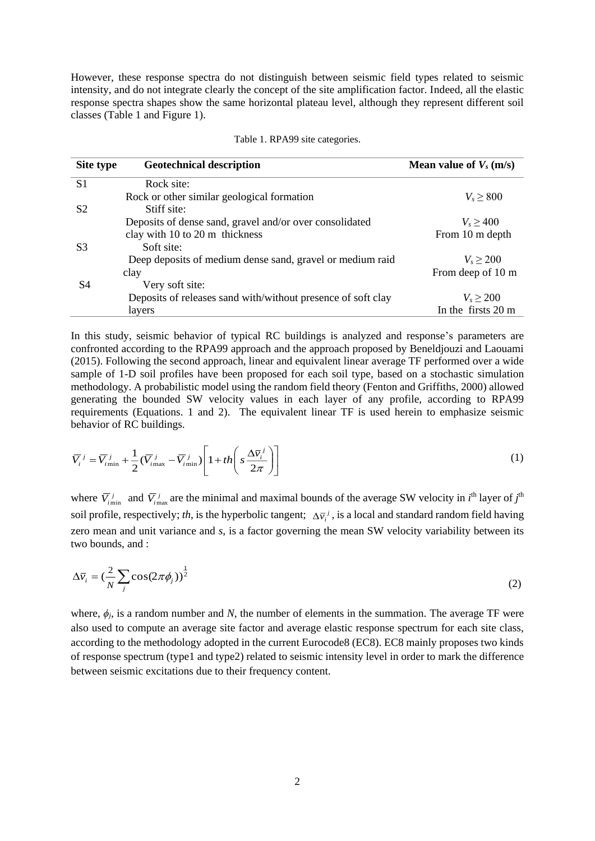However, these response spectra do not distinguish between seismic field types related to seismic intensity, and do not integrate clearly the concept of the site amplification factor. Indeed, all the elastic response spectra shapes show the same horizontal plateau level, although they represent different soil classes (Table 1 and Figure 1).

| Site type      | <b>Geotechnical description</b>                              | Mean value of $V_s$ (m/s) |
|----------------|--------------------------------------------------------------|---------------------------|
| S <sub>1</sub> | Rock site:                                                   |                           |
|                | Rock or other similar geological formation                   | $V_s \geq 800$            |
| S <sub>2</sub> | Stiff site:                                                  |                           |
|                | Deposits of dense sand, gravel and/or over consolidated      | $V_s \geq 400$            |
|                | clay with 10 to 20 m thickness                               | From 10 m depth           |
| S <sub>3</sub> | Soft site:                                                   |                           |
|                | Deep deposits of medium dense sand, gravel or medium raid    | $V_s \ge 200$             |
|                | clay                                                         | From deep of 10 m         |
| S4             | Very soft site:                                              |                           |
|                | Deposits of releases sand with/without presence of soft clay | $V_s > 200$               |
|                | layers                                                       | In the firsts 20 m        |

|  |  |  | Table 1. RPA99 site categories. |
|--|--|--|---------------------------------|
|--|--|--|---------------------------------|

In this study, seismic behavior of typical RC buildings is analyzed and response's parameters are confronted according to the RPA99 approach and the approach proposed by Beneldjouzi and Laouami (2015). Following the second approach, linear and equivalent linear average TF performed over a wide sample of 1-D soil profiles have been proposed for each soil type, based on a stochastic simulation methodology. A probabilistic model using the random field theory (Fenton and Griffiths, 2000) allowed generating the bounded SW velocity values in each layer of any profile, according to RPA99 requirements (Equations. 1 and 2). The equivalent linear TF is used herein to emphasize seismic behavior of RC buildings.

$$
\overline{V_i}^j = \overline{V_{i\min}}^j + \frac{1}{2} (\overline{V_{i\max}}^j - \overline{V_{i\min}}^j) \left[ 1 + th \left( s \frac{\Delta \overline{v}_i^j}{2\pi} \right) \right]
$$
(1)

where  $\overline{V}$ <sub>imin</sub> and  $\overline{V}$ <sub>imax</sub> are the minimal and maximal bounds of the average SW velocity in *i*<sup>th</sup> layer of *j*<sup>th</sup> soil profile, respectively; *th*, is the hyperbolic tangent;  $\Delta \bar{v}_i^j$ , is a local and standard random field having zero mean and unit variance and *s*, is a factor governing the mean SW velocity variability between its two bounds, and :

$$
\Delta \overline{v}_i = \left(\frac{2}{N} \sum_j \cos(2\pi \phi_j)\right)^{\frac{1}{2}}
$$
 (2)

where,  $\phi_j$ , is a random number and *N*, the number of elements in the summation. The average TF were also used to compute an average site factor and average elastic response spectrum for each site class, according to the methodology adopted in the current Eurocode8 (EC8). EC8 mainly proposes two kinds of response spectrum (type1 and type2) related to seismic intensity level in order to mark the difference between seismic excitations due to their frequency content.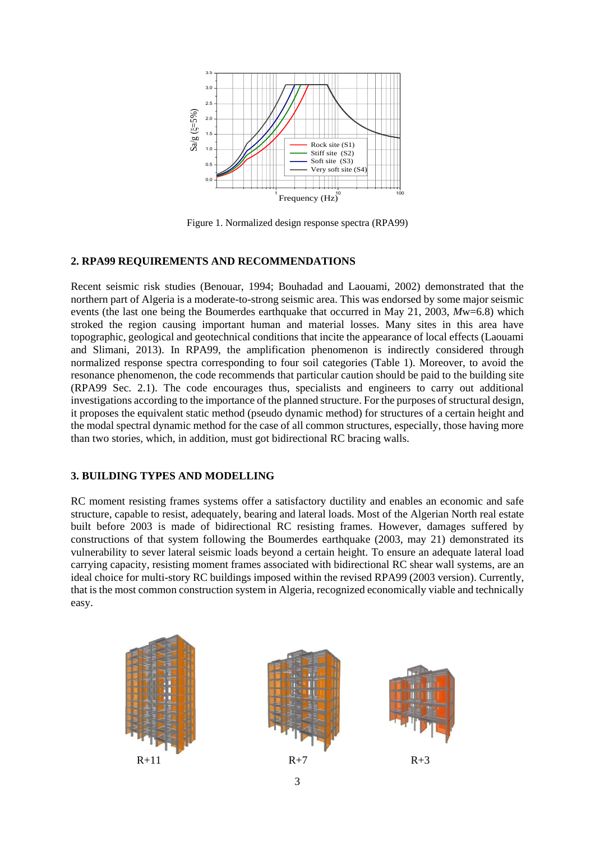

Figure 1. Normalized design response spectra (RPA99)

## **2. RPA99 REQUIREMENTS AND RECOMMENDATIONS**

Recent seismic risk studies (Benouar, 1994; Bouhadad and Laouami, 2002) demonstrated that the northern part of Algeria is a moderate-to-strong seismic area. This was endorsed by some major seismic events (the last one being the Boumerdes earthquake that occurred in May 21, 2003, *M*w=6.8) which stroked the region causing important human and material losses. Many sites in this area have topographic, geological and geotechnical conditions that incite the appearance of local effects (Laouami and Slimani, 2013). In RPA99, the amplification phenomenon is indirectly considered through normalized response spectra corresponding to four soil categories (Table 1). Moreover, to avoid the resonance phenomenon, the code recommends that particular caution should be paid to the building site (RPA99 Sec. 2.1). The code encourages thus, specialists and engineers to carry out additional investigations according to the importance of the planned structure. For the purposes of structural design, it proposes the equivalent static method (pseudo dynamic method) for structures of a certain height and the modal spectral dynamic method for the case of all common structures, especially, those having more than two stories, which, in addition, must got bidirectional RC bracing walls.

## **3. BUILDING TYPES AND MODELLING**

RC moment resisting frames systems offer a satisfactory ductility and enables an economic and safe structure, capable to resist, adequately, bearing and lateral loads. Most of the Algerian North real estate built before 2003 is made of bidirectional RC resisting frames. However, damages suffered by constructions of that system following the Boumerdes earthquake (2003, may 21) demonstrated its vulnerability to sever lateral seismic loads beyond a certain height. To ensure an adequate lateral load carrying capacity, resisting moment frames associated with bidirectional RC shear wall systems, are an ideal choice for multi-story RC buildings imposed within the revised RPA99 (2003 version). Currently, that is the most common construction system in Algeria, recognized economically viable and technically easy.

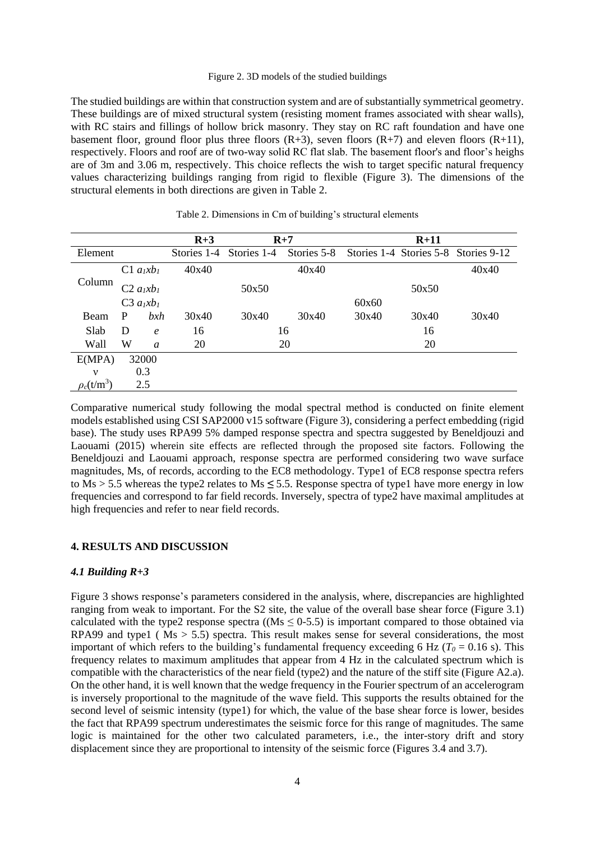#### Figure 2. 3D models of the studied buildings

The studied buildings are within that construction system and are of substantially symmetrical geometry. These buildings are of mixed structural system (resisting moment frames associated with shear walls), with RC stairs and fillings of hollow brick masonry. They stay on RC raft foundation and have one basement floor, ground floor plus three floors  $(R+3)$ , seven floors  $(R+7)$  and eleven floors  $(R+11)$ , respectively. Floors and roof are of two-way solid RC flat slab. The basement floor's and floor's heighs are of 3m and 3.06 m, respectively. This choice reflects the wish to target specific natural frequency values characterizing buildings ranging from rigid to flexible (Figure 3). The dimensions of the structural elements in both directions are given in Table 2.

|                 |   |                                    | $R+3$       | $R+7$       |             | $R+11$ |       |                                      |
|-----------------|---|------------------------------------|-------------|-------------|-------------|--------|-------|--------------------------------------|
| Element         |   |                                    | Stories 1-4 | Stories 1-4 | Stories 5-8 |        |       | Stories 1-4 Stories 5-8 Stories 9-12 |
|                 |   | $C1$ $a_1xb_1$                     | 40x40       |             | 40x40       |        | 40x40 |                                      |
| Column          |   | C2 a <sub>I</sub> x b <sub>I</sub> |             | 50x50       |             | 50x50  |       |                                      |
|                 |   | C3 $a_lxb_l$                       |             |             |             | 60x60  |       |                                      |
| Beam            | P | b x h                              | 30x40       | 30x40       | 30x40       | 30x40  | 30x40 | 30x40                                |
| Slab            | D | $\epsilon$                         | 16          | 16          |             | 16     |       |                                      |
| Wall            | W | $\mathfrak a$                      | 20          | 20          |             | 20     |       |                                      |
| E(MPA)          |   | 32000                              |             |             |             |        |       |                                      |
| $\mathbf v$     |   | 0.3                                |             |             |             |        |       |                                      |
| $\rho_c(t/m^3)$ |   | 2.5                                |             |             |             |        |       |                                      |

Table 2. Dimensions in Cm of building's structural elements

Comparative numerical study following the modal spectral method is conducted on finite element models established using CSI SAP2000 v15 software (Figure 3), considering a perfect embedding (rigid base). The study uses RPA99 5% damped response spectra and spectra suggested by Beneldjouzi and Laouami (2015) wherein site effects are reflected through the proposed site factors. Following the Beneldjouzi and Laouami approach, response spectra are performed considering two wave surface magnitudes, Ms, of records, according to the EC8 methodology. Type1 of EC8 response spectra refers to Ms > 5.5 whereas the type2 relates to Ms *≤* 5.5. Response spectra of type1 have more energy in low frequencies and correspond to far field records. Inversely, spectra of type2 have maximal amplitudes at high frequencies and refer to near field records.

### **4. RESULTS AND DISCUSSION**

#### *4.1 Building R+3*

Figure 3 shows response's parameters considered in the analysis, where, discrepancies are highlighted ranging from weak to important. For the S2 site, the value of the overall base shear force (Figure 3.1) calculated with the type2 response spectra ( $(Ms \le 0.5.5)$ ) is important compared to those obtained via RPA99 and type1 ( $\overline{Ms} > 5.5$ ) spectra. This result makes sense for several considerations, the most important of which refers to the building's fundamental frequency exceeding 6 Hz ( $T<sub>0</sub> = 0.16$  s). This frequency relates to maximum amplitudes that appear from 4 Hz in the calculated spectrum which is compatible with the characteristics of the near field (type2) and the nature of the stiff site (Figure A2.a). On the other hand, it is well known that the wedge frequency in the Fourier spectrum of an accelerogram is inversely proportional to the magnitude of the wave field. This supports the results obtained for the second level of seismic intensity (type1) for which, the value of the base shear force is lower, besides the fact that RPA99 spectrum underestimates the seismic force for this range of magnitudes. The same logic is maintained for the other two calculated parameters, i.e., the inter-story drift and story displacement since they are proportional to intensity of the seismic force (Figures 3.4 and 3.7).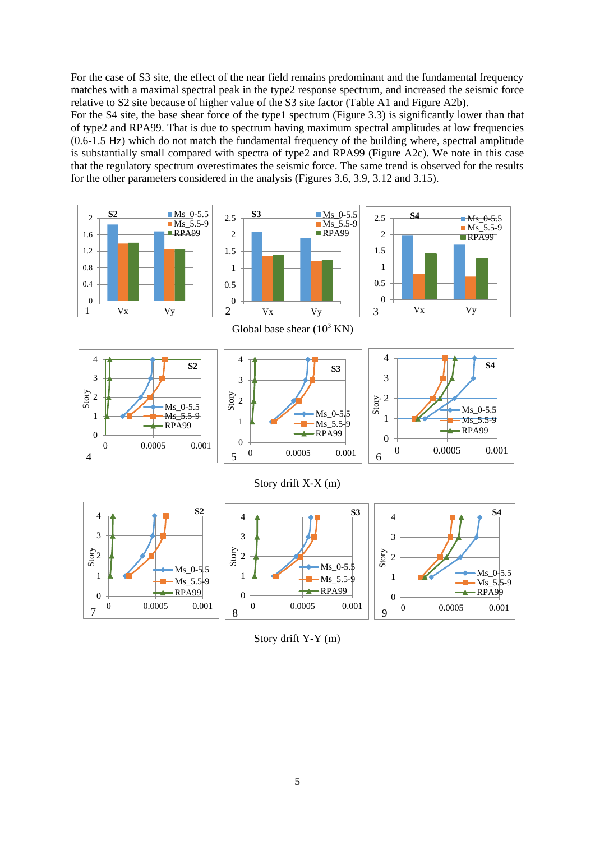For the case of S3 site, the effect of the near field remains predominant and the fundamental frequency matches with a maximal spectral peak in the type2 response spectrum, and increased the seismic force relative to S2 site because of higher value of the S3 site factor (Table A1 and Figure A2b).

For the S4 site, the base shear force of the type1 spectrum (Figure 3.3) is significantly lower than that of type2 and RPA99. That is due to spectrum having maximum spectral amplitudes at low frequencies (0.6-1.5 Hz) which do not match the fundamental frequency of the building where, spectral amplitude is substantially small compared with spectra of type2 and RPA99 (Figure A2c). We note in this case that the regulatory spectrum overestimates the seismic force. The same trend is observed for the results for the other parameters considered in the analysis (Figures 3.6, 3.9, 3.12 and 3.15).



Story drift Y-Y (m)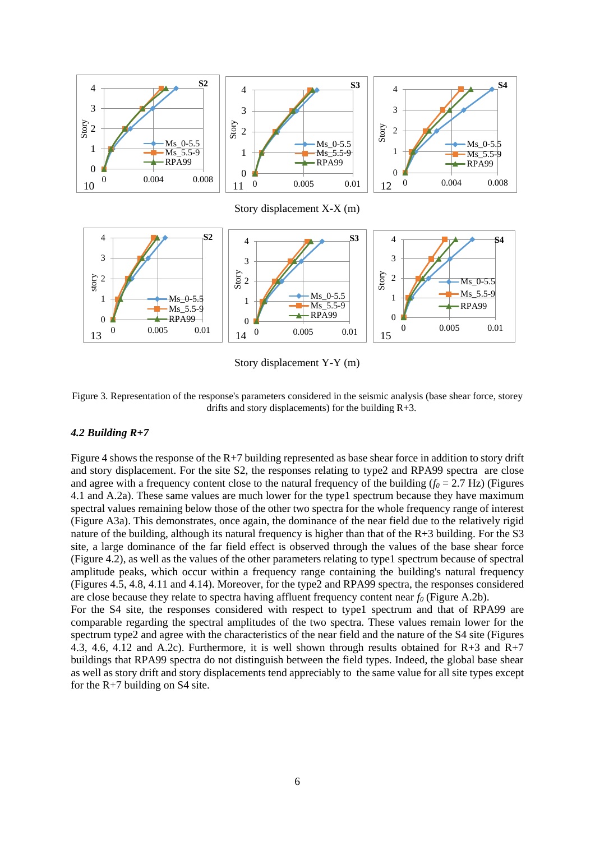

Story displacement Y-Y (m)

Figure 3. Representation of the response's parameters considered in the seismic analysis (base shear force, storey drifts and story displacements) for the building R+3.

## *4.2 Building R+7*

for the  $R+7$  building on S4 site.

Figure 4 shows the response of the R+7 building represented as base shear force in addition to story drift and story displacement. For the site S2, the responses relating to type2 and RPA99 spectra are close and agree with a frequency content close to the natural frequency of the building  $(f_0 = 2.7 \text{ Hz})$  (Figures 4.1 and A.2a). These same values are much lower for the type1 spectrum because they have maximum spectral values remaining below those of the other two spectra for the whole frequency range of interest (Figure A3a). This demonstrates, once again, the dominance of the near field due to the relatively rigid nature of the building, although its natural frequency is higher than that of the R+3 building. For the S3 site, a large dominance of the far field effect is observed through the values of the base shear force (Figure 4.2), as well as the values of the other parameters relating to type1 spectrum because of spectral amplitude peaks, which occur within a frequency range containing the building's natural frequency (Figures 4.5, 4.8, 4.11 and 4.14). Moreover, for the type2 and RPA99 spectra, the responses considered are close because they relate to spectra having affluent frequency content near *f<sup>0</sup>* (Figure A.2b). For the S4 site, the responses considered with respect to type1 spectrum and that of RPA99 are comparable regarding the spectral amplitudes of the two spectra. These values remain lower for the spectrum type2 and agree with the characteristics of the near field and the nature of the S4 site (Figures 4.3, 4.6, 4.12 and A.2c). Furthermore, it is well shown through results obtained for R+3 and R+7 buildings that RPA99 spectra do not distinguish between the field types. Indeed, the global base shear

as well as story drift and story displacements tend appreciably to the same value for all site types except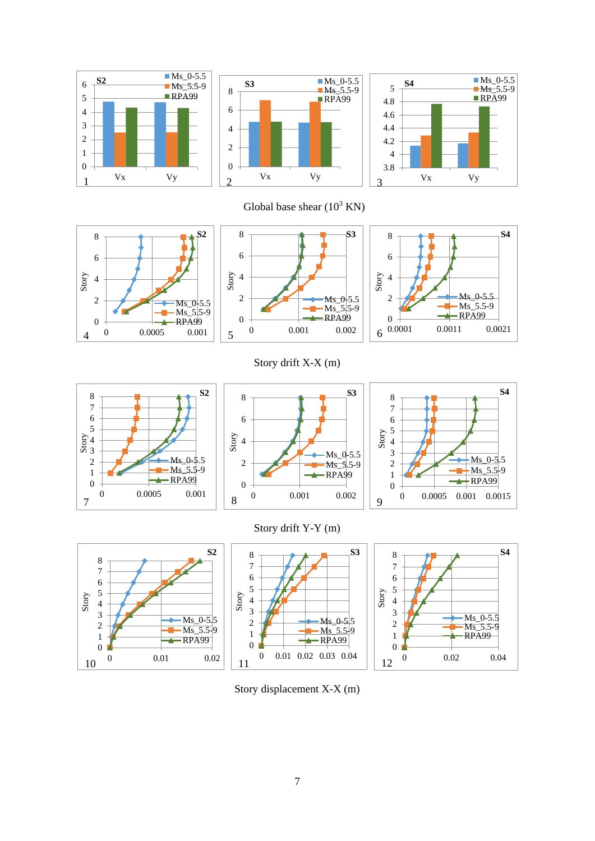





Global base shear  $(10^3$  KN)



Story drift X-X (m)



10

Story











Story displacement X-X (m)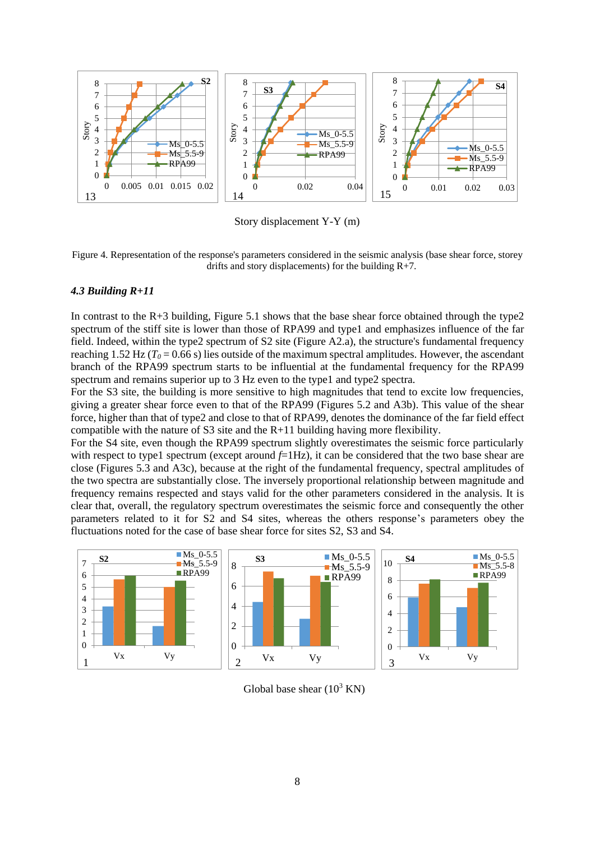

Story displacement Y-Y (m)

Figure 4. Representation of the response's parameters considered in the seismic analysis (base shear force, storey drifts and story displacements) for the building R+7.

#### *4.3 Building R+11*

In contrast to the  $R+3$  building, Figure 5.1 shows that the base shear force obtained through the type2 spectrum of the stiff site is lower than those of RPA99 and type1 and emphasizes influence of the far field. Indeed, within the type2 spectrum of S2 site (Figure A2.a), the structure's fundamental frequency reaching 1.52 Hz ( $T_0$  = 0.66 s) lies outside of the maximum spectral amplitudes. However, the ascendant branch of the RPA99 spectrum starts to be influential at the fundamental frequency for the RPA99 spectrum and remains superior up to 3 Hz even to the type1 and type2 spectra.

For the S3 site, the building is more sensitive to high magnitudes that tend to excite low frequencies, giving a greater shear force even to that of the RPA99 (Figures 5.2 and A3b). This value of the shear force, higher than that of type2 and close to that of RPA99, denotes the dominance of the far field effect compatible with the nature of S3 site and the  $R+11$  building having more flexibility.

For the S4 site, even though the RPA99 spectrum slightly overestimates the seismic force particularly with respect to type1 spectrum (except around  $f=1Hz$ ), it can be considered that the two base shear are close (Figures 5.3 and A3c), because at the right of the fundamental frequency, spectral amplitudes of the two spectra are substantially close. The inversely proportional relationship between magnitude and frequency remains respected and stays valid for the other parameters considered in the analysis. It is clear that, overall, the regulatory spectrum overestimates the seismic force and consequently the other parameters related to it for S2 and S4 sites, whereas the others response's parameters obey the fluctuations noted for the case of base shear force for sites S2, S3 and S4.



Global base shear  $(10^3 \text{ KN})$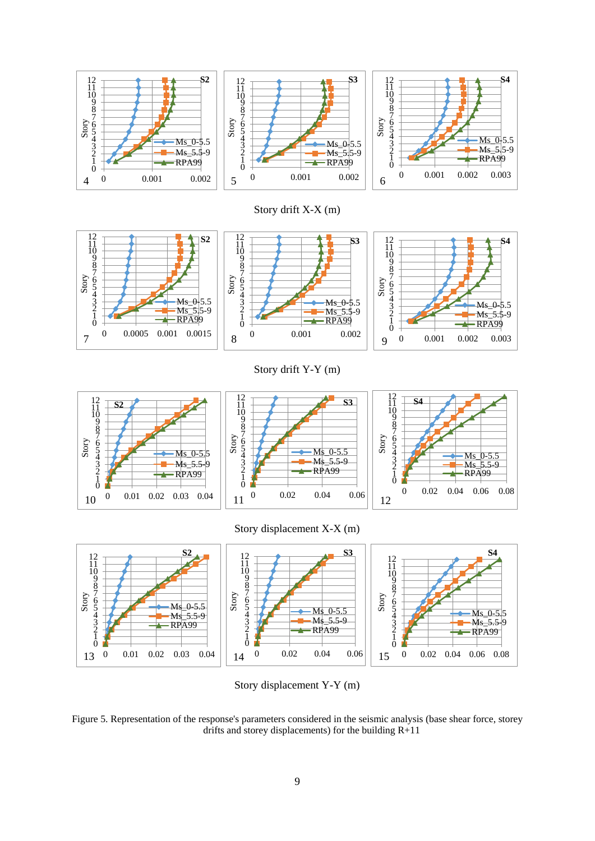





Story drift Y-Y (m)



Story displacement X-X (m)



Story displacement Y-Y (m)

Figure 5. Representation of the response's parameters considered in the seismic analysis (base shear force, storey drifts and storey displacements) for the building R+11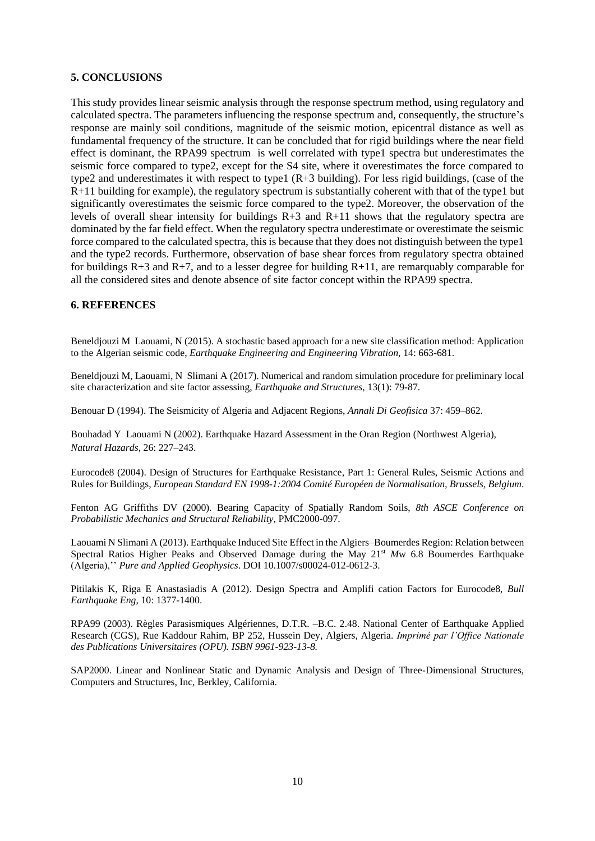## **5. CONCLUSIONS**

This study provides linear seismic analysis through the response spectrum method, using regulatory and calculated spectra. The parameters influencing the response spectrum and, consequently, the structure's response are mainly soil conditions, magnitude of the seismic motion, epicentral distance as well as fundamental frequency of the structure. It can be concluded that for rigid buildings where the near field effect is dominant, the RPA99 spectrum is well correlated with type1 spectra but underestimates the seismic force compared to type2, except for the S4 site, where it overestimates the force compared to type2 and underestimates it with respect to type1 (R+3 building). For less rigid buildings, (case of the R+11 building for example), the regulatory spectrum is substantially coherent with that of the type1 but significantly overestimates the seismic force compared to the type2. Moreover, the observation of the levels of overall shear intensity for buildings R+3 and R+11 shows that the regulatory spectra are dominated by the far field effect. When the regulatory spectra underestimate or overestimate the seismic force compared to the calculated spectra, this is because that they does not distinguish between the type1 and the type2 records. Furthermore, observation of base shear forces from regulatory spectra obtained for buildings  $R+3$  and  $R+7$ , and to a lesser degree for building  $R+11$ , are remarquably comparable for all the considered sites and denote absence of site factor concept within the RPA99 spectra.

## **6. REFERENCES**

Beneldjouzi M Laouami, N (2015). A stochastic based approach for a new site classification method: Application to the Algerian seismic code, *Earthquake Engineering and Engineering Vibration,* 14: 663-681.

Beneldjouzi M, Laouami, N Slimani A (2017). Numerical and random simulation procedure for preliminary local site characterization and site factor assessing, *Earthquake and Structures*, 13(1): 79-87.

Benouar D (1994). The Seismicity of Algeria and Adjacent Regions, *Annali Di Geofisica* 37: 459–862.

Bouhadad Y Laouami N (2002). Earthquake Hazard Assessment in the Oran Region (Northwest Algeria), *Natural Hazards*, 26: 227–243.

Eurocode8 (2004). Design of Structures for Earthquake Resistance, Part 1: General Rules, Seismic Actions and Rules for Buildings, *European Standard EN 1998-1:2004 Comité Européen de Normalisation, Brussels, Belgium*.

Fenton AG Griffiths DV (2000). Bearing Capacity of Spatially Random Soils, *8th ASCE Conference on Probabilistic Mechanics and Structural Reliability*, PMC2000-097.

Laouami N Slimani A (2013). Earthquake Induced Site Effect in the Algiers–Boumerdes Region: Relation between Spectral Ratios Higher Peaks and Observed Damage during the May 21<sup>st</sup> Mw 6.8 Boumerdes Earthquake (Algeria),'' *Pure and Applied Geophysics*. DOI 10.1007/s00024-012-0612-3.

Pitilakis K, Riga E Anastasiadis A (2012). Design Spectra and Amplifi cation Factors for Eurocode8, *Bull Earthquake Eng*, 10: 1377-1400.

RPA99 (2003). Règles Parasismiques Algériennes, D.T.R. –B.C. 2.48. National Center of Earthquake Applied Research (CGS), Rue Kaddour Rahim, BP 252, Hussein Dey, Algiers, Algeria. *Imprimé par l'Office Nationale des Publications Universitaires (OPU). ISBN 9961-923-13-8.*

SAP2000. Linear and Nonlinear Static and Dynamic Analysis and Design of Three-Dimensional Structures, Computers and Structures, Inc, Berkley, California.